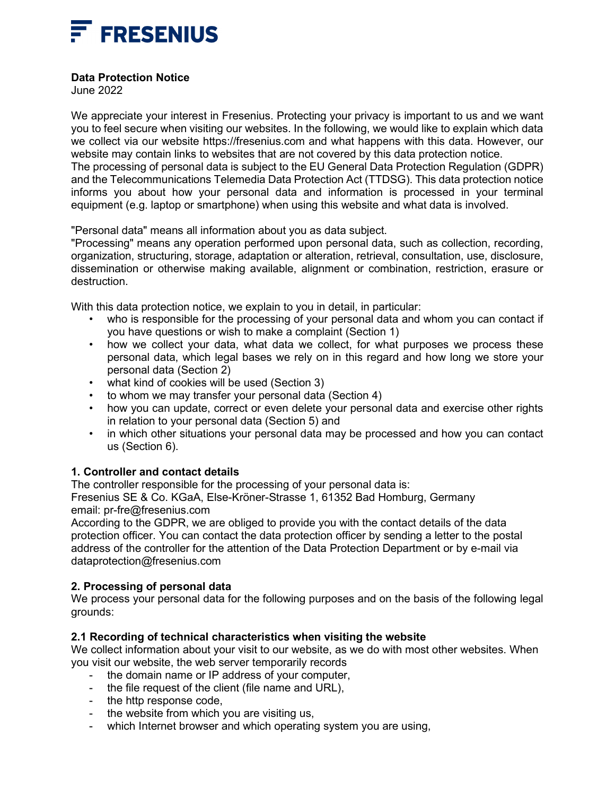

# **Data Protection Notice**

June 2022

We appreciate your interest in Fresenius. Protecting your privacy is important to us and we want you to feel secure when visiting our websites. In the following, we would like to explain which data we collect via our website https://fresenius.com and what happens with this data. However, our website may contain links to websites that are not covered by this data protection notice. The processing of personal data is subject to the EU General Data Protection Regulation (GDPR) and the Telecommunications Telemedia Data Protection Act (TTDSG). This data protection notice informs you about how your personal data and information is processed in your terminal equipment (e.g. laptop or smartphone) when using this website and what data is involved.

"Personal data" means all information about you as data subject.

"Processing" means any operation performed upon personal data, such as collection, recording, organization, structuring, storage, adaptation or alteration, retrieval, consultation, use, disclosure, dissemination or otherwise making available, alignment or combination, restriction, erasure or destruction.

With this data protection notice, we explain to you in detail, in particular:

- who is responsible for the processing of your personal data and whom you can contact if you have questions or wish to make a complaint (Section 1)
- how we collect your data, what data we collect, for what purposes we process these personal data, which legal bases we rely on in this regard and how long we store your personal data (Section 2)
- what kind of cookies will be used (Section 3)
- to whom we may transfer your personal data (Section 4)
- how you can update, correct or even delete your personal data and exercise other rights in relation to your personal data (Section 5) and
- in which other situations your personal data may be processed and how you can contact us (Section 6).

# **1. Controller and contact details**

The controller responsible for the processing of your personal data is:

Fresenius SE & Co. KGaA, Else-Kröner-Strasse 1, 61352 Bad Homburg, Germany email: pr-fre@fresenius.com

According to the GDPR, we are obliged to provide you with the contact details of the data protection officer. You can contact the data protection officer by sending a letter to the postal address of the controller for the attention of the Data Protection Department or by e-mail via dataprotection@fresenius.com

# **2. Processing of personal data**

We process your personal data for the following purposes and on the basis of the following legal grounds:

# **2.1 Recording of technical characteristics when visiting the website**

We collect information about your visit to our website, as we do with most other websites. When you visit our website, the web server temporarily records

- the domain name or IP address of your computer,
- the file request of the client (file name and URL),
- the http response code,
- the website from which you are visiting us,
- which Internet browser and which operating system you are using,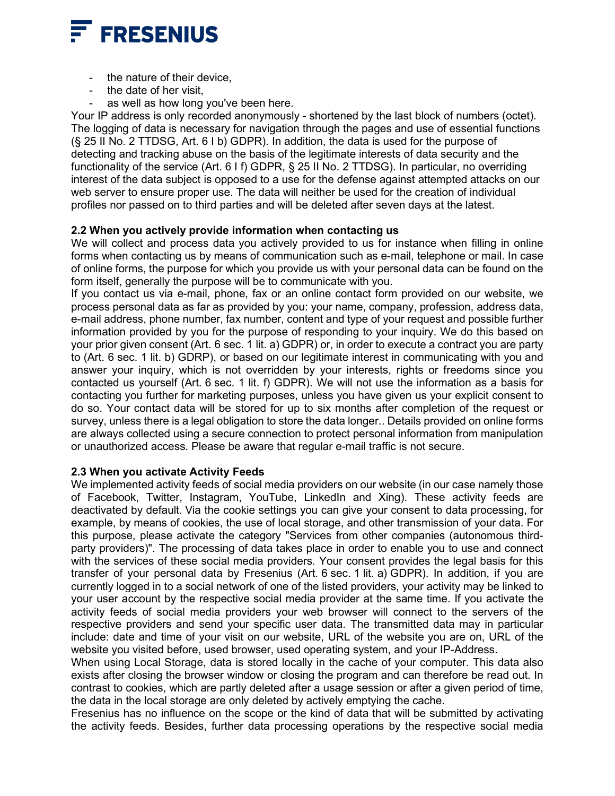

- the nature of their device.
- the date of her visit.
- as well as how long you've been here.

Your IP address is only recorded anonymously - shortened by the last block of numbers (octet). The logging of data is necessary for navigation through the pages and use of essential functions (§ 25 II No. 2 TTDSG, Art. 6 I b) GDPR). In addition, the data is used for the purpose of detecting and tracking abuse on the basis of the legitimate interests of data security and the functionality of the service (Art. 6 I f) GDPR, § 25 II No. 2 TTDSG). In particular, no overriding interest of the data subject is opposed to a use for the defense against attempted attacks on our web server to ensure proper use. The data will neither be used for the creation of individual profiles nor passed on to third parties and will be deleted after seven days at the latest.

### **2.2 When you actively provide information when contacting us**

We will collect and process data you actively provided to us for instance when filling in online forms when contacting us by means of communication such as e-mail, telephone or mail. In case of online forms, the purpose for which you provide us with your personal data can be found on the form itself, generally the purpose will be to communicate with you.

If you contact us via e-mail, phone, fax or an online contact form provided on our website, we process personal data as far as provided by you: your name, company, profession, address data, e-mail address, phone number, fax number, content and type of your request and possible further information provided by you for the purpose of responding to your inquiry. We do this based on your prior given consent (Art. 6 sec. 1 lit. a) GDPR) or, in order to execute a contract you are party to (Art. 6 sec. 1 lit. b) GDRP), or based on our legitimate interest in communicating with you and answer your inquiry, which is not overridden by your interests, rights or freedoms since you contacted us yourself (Art. 6 sec. 1 lit. f) GDPR). We will not use the information as a basis for contacting you further for marketing purposes, unless you have given us your explicit consent to do so. Your contact data will be stored for up to six months after completion of the request or survey, unless there is a legal obligation to store the data longer.. Details provided on online forms are always collected using a secure connection to protect personal information from manipulation or unauthorized access. Please be aware that regular e-mail traffic is not secure.

#### **2.3 When you activate Activity Feeds**

We implemented activity feeds of social media providers on our website (in our case namely those of Facebook, Twitter, Instagram, YouTube, LinkedIn and Xing). These activity feeds are deactivated by default. Via the cookie settings you can give your consent to data processing, for example, by means of cookies, the use of local storage, and other transmission of your data. For this purpose, please activate the category "Services from other companies (autonomous thirdparty providers)". The processing of data takes place in order to enable you to use and connect with the services of these social media providers. Your consent provides the legal basis for this transfer of your personal data by Fresenius (Art. 6 sec. 1 lit. a) GDPR). In addition, if you are currently logged in to a social network of one of the listed providers, your activity may be linked to your user account by the respective social media provider at the same time. If you activate the activity feeds of social media providers your web browser will connect to the servers of the respective providers and send your specific user data. The transmitted data may in particular include: date and time of your visit on our website, URL of the website you are on, URL of the website you visited before, used browser, used operating system, and your IP-Address.

When using Local Storage, data is stored locally in the cache of your computer. This data also exists after closing the browser window or closing the program and can therefore be read out. In contrast to cookies, which are partly deleted after a usage session or after a given period of time, the data in the local storage are only deleted by actively emptying the cache.

Fresenius has no influence on the scope or the kind of data that will be submitted by activating the activity feeds. Besides, further data processing operations by the respective social media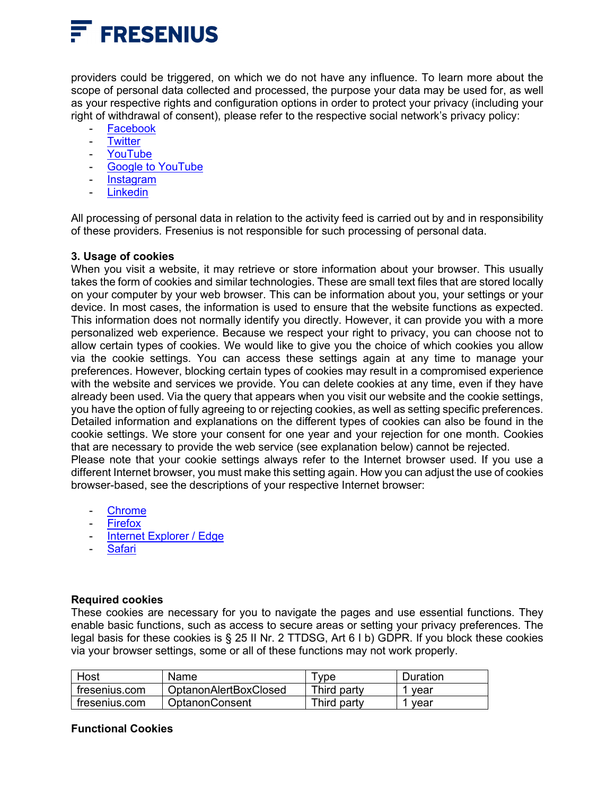

providers could be triggered, on which we do not have any influence. To learn more about the scope of personal data collected and processed, the purpose your data may be used for, as well as your respective rights and configuration options in order to protect your privacy (including your right of withdrawal of consent), please refer to the respective social network's privacy policy:

- **[Facebook](https://www.facebook.com/policy.php)**
- [Twitter](https://twitter.com/en/privacy)
- **[YouTube](https://www.youtube.com/static?template=privacy_guidelines)**
- [Google to YouTube](http://www.google.com/intl/en-GB/policies/privacy/)
- **[Instagram](https://help.instagram.com/155833707900388)**
- **[Linkedin](https://www.linkedin.com/legal/privacy-policy?src=li-other&veh=www.linkedin.com)**

All processing of personal data in relation to the activity feed is carried out by and in responsibility of these providers. Fresenius is not responsible for such processing of personal data.

### **3. Usage of cookies**

When you visit a website, it may retrieve or store information about your browser. This usually takes the form of cookies and similar technologies. These are small text files that are stored locally on your computer by your web browser. This can be information about you, your settings or your device. In most cases, the information is used to ensure that the website functions as expected. This information does not normally identify you directly. However, it can provide you with a more personalized web experience. Because we respect your right to privacy, you can choose not to allow certain types of cookies. We would like to give you the choice of which cookies you allow via the cookie settings. You can access these settings again at any time to manage your preferences. However, blocking certain types of cookies may result in a compromised experience with the website and services we provide. You can delete cookies at any time, even if they have already been used. Via the query that appears when you visit our website and the cookie settings, you have the option of fully agreeing to or rejecting cookies, as well as setting specific preferences. Detailed information and explanations on the different types of cookies can also be found in the cookie settings. We store your consent for one year and your rejection for one month. Cookies that are necessary to provide the web service (see explanation below) cannot be rejected. Please note that your cookie settings always refer to the Internet browser used. If you use a different Internet browser, you must make this setting again. How you can adjust the use of cookies browser-based, see the descriptions of your respective Internet browser:

- [Chrome](https://support.google.com/chrome/answer/95647?hl=en)
- **[Firefox](https://support.mozilla.org/en-US/kb/enable-and-disable-cookies-website-preferences)**
- [Internet Explorer / Edge](http://windows.microsoft.com/en-GB/windows-vista/Block-or-allow-cookies)
- **[Safari](http://help.apple.com/safari/mac/8.0/#/sfri11471)**

#### **Required cookies**

These cookies are necessary for you to navigate the pages and use essential functions. They enable basic functions, such as access to secure areas or setting your privacy preferences. The legal basis for these cookies is § 25 II Nr. 2 TTDSG, Art 6 I b) GDPR. If you block these cookies via your browser settings, some or all of these functions may not work properly.

| Host          | Name                  | <b>vpe</b>  | Duration |
|---------------|-----------------------|-------------|----------|
| fresenius.com | OptanonAlertBoxClosed | Third partv | vear     |
| fresenius.com | <b>OptanonConsent</b> | Third party | vear     |

#### **Functional Cookies**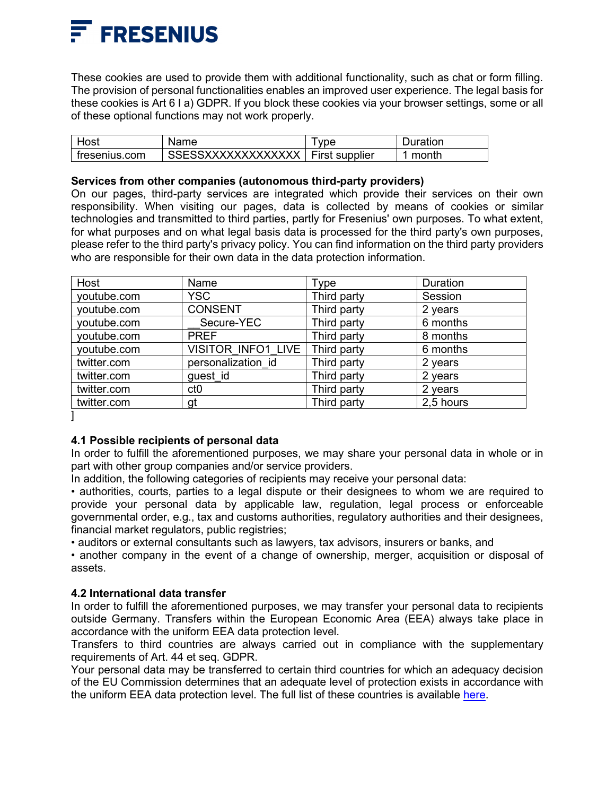

These cookies are used to provide them with additional functionality, such as chat or form filling. The provision of personal functionalities enables an improved user experience. The legal basis for these cookies is Art 6 I a) GDPR. If you block these cookies via your browser settings, some or all of these optional functions may not work properly.

| Host          | Name                                | vpe | ⊃uration |
|---------------|-------------------------------------|-----|----------|
| tresenius.com | SSESSXXXXXXXXXXXXX   First supplier |     | month    |

### **Services from other companies (autonomous third-party providers)**

On our pages, third-party services are integrated which provide their services on their own responsibility. When visiting our pages, data is collected by means of cookies or similar technologies and transmitted to third parties, partly for Fresenius' own purposes. To what extent, for what purposes and on what legal basis data is processed for the third party's own purposes, please refer to the third party's privacy policy. You can find information on the third party providers who are responsible for their own data in the data protection information.

| Host        | Name               | Type        | Duration  |
|-------------|--------------------|-------------|-----------|
| youtube.com | <b>YSC</b>         | Third party | Session   |
| youtube.com | <b>CONSENT</b>     | Third party | 2 years   |
| youtube.com | Secure-YEC         | Third party | 6 months  |
| youtube.com | <b>PREF</b>        | Third party | 8 months  |
| youtube.com | VISITOR INFO1 LIVE | Third party | 6 months  |
| twitter.com | personalization id | Third party | 2 years   |
| twitter.com | guest id           | Third party | 2 years   |
| twitter.com | ct <sub>0</sub>    | Third party | 2 years   |
| twitter.com | gt                 | Third party | 2,5 hours |

]

# **4.1 Possible recipients of personal data**

In order to fulfill the aforementioned purposes, we may share your personal data in whole or in part with other group companies and/or service providers.

In addition, the following categories of recipients may receive your personal data:

• authorities, courts, parties to a legal dispute or their designees to whom we are required to provide your personal data by applicable law, regulation, legal process or enforceable governmental order, e.g., tax and customs authorities, regulatory authorities and their designees, financial market regulators, public registries;

• auditors or external consultants such as lawyers, tax advisors, insurers or banks, and

• another company in the event of a change of ownership, merger, acquisition or disposal of assets.

# **4.2 International data transfer**

In order to fulfill the aforementioned purposes, we may transfer your personal data to recipients outside Germany. Transfers within the European Economic Area (EEA) always take place in accordance with the uniform EEA data protection level.

Transfers to third countries are always carried out in compliance with the supplementary requirements of Art. 44 et seq. GDPR.

Your personal data may be transferred to certain third countries for which an adequacy decision of the EU Commission determines that an adequate level of protection exists in accordance with the uniform EEA data protection level. The full list of these countries is available [here.](https://ec.europa.eu/info/law/law-topic/data-protection/international-dimension-data-protection/adequacy-decisions)